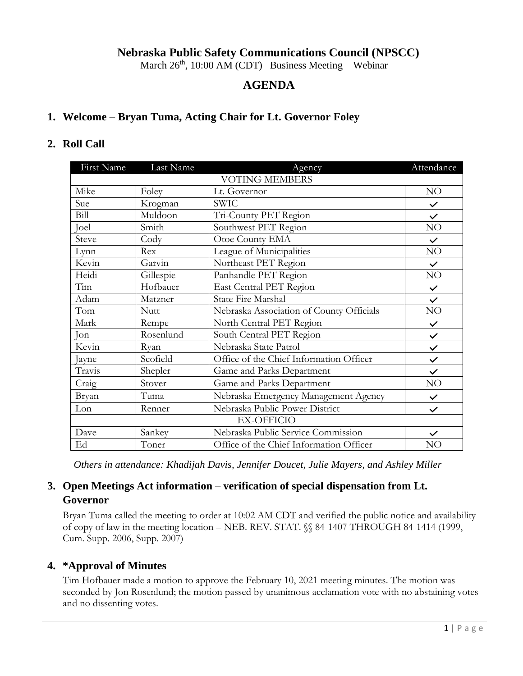## **Nebraska Public Safety Communications Council (NPSCC)**

March  $26<sup>th</sup>$ , 10:00 AM (CDT) Business Meeting – Webinar

## **AGENDA**

#### **1. Welcome – Bryan Tuma, Acting Chair for Lt. Governor Foley**

#### **2. Roll Call**

| First Name            | Last Name   | Agency                                   | Attendance   |  |
|-----------------------|-------------|------------------------------------------|--------------|--|
| <b>VOTING MEMBERS</b> |             |                                          |              |  |
| Mike                  | Foley       | Lt. Governor                             | NO           |  |
| Sue                   | Krogman     | <b>SWIC</b>                              | $\checkmark$ |  |
| Bill                  | Muldoon     | Tri-County PET Region                    | $\checkmark$ |  |
| Joel                  | Smith       | Southwest PET Region                     | NO           |  |
| Steve                 | Cody        | Otoe County EMA                          | $\checkmark$ |  |
| Lynn                  | Rex         | League of Municipalities                 | NO           |  |
| Kevin                 | Garvin      | Northeast PET Region                     | $\checkmark$ |  |
| Heidi                 | Gillespie   | Panhandle PET Region                     | NO           |  |
| Tim                   | Hofbauer    | East Central PET Region                  | $\checkmark$ |  |
| Adam                  | Matzner     | <b>State Fire Marshal</b>                | $\checkmark$ |  |
| Tom                   | <b>Nutt</b> | Nebraska Association of County Officials | NO           |  |
| Mark                  | Rempe       | North Central PET Region                 | $\checkmark$ |  |
| Jon                   | Rosenlund   | South Central PET Region                 | $\checkmark$ |  |
| Kevin                 | Ryan        | Nebraska State Patrol                    | $\checkmark$ |  |
| Jayne                 | Scofield    | Office of the Chief Information Officer  | $\checkmark$ |  |
| Travis                | Shepler     | Game and Parks Department                | $\checkmark$ |  |
| Craig                 | Stover      | Game and Parks Department                | NO           |  |
| Bryan                 | Tuma        | Nebraska Emergency Management Agency     | $\checkmark$ |  |
| Lon                   | Renner      | Nebraska Public Power District           | $\checkmark$ |  |
| <b>EX-OFFICIO</b>     |             |                                          |              |  |
| Dave                  | Sankey      | Nebraska Public Service Commission       | $\checkmark$ |  |
| Ed                    | Toner       | Office of the Chief Information Officer  | NO           |  |

*Others in attendance: Khadijah Davis, Jennifer Doucet, Julie Mayers, and Ashley Miller*

# **3. Open Meetings Act information – verification of special dispensation from Lt. Governor**

Bryan Tuma called the meeting to order at 10:02 AM CDT and verified the public notice and availability of copy of law in the meeting location – NEB. REV. STAT. §§ 84-1407 THROUGH 84-1414 (1999, Cum. Supp. 2006, Supp. 2007)

#### **4. \*Approval of Minutes**

Tim Hofbauer made a motion to approve the February 10, 2021 meeting minutes. The motion was seconded by Jon Rosenlund; the motion passed by unanimous acclamation vote with no abstaining votes and no dissenting votes.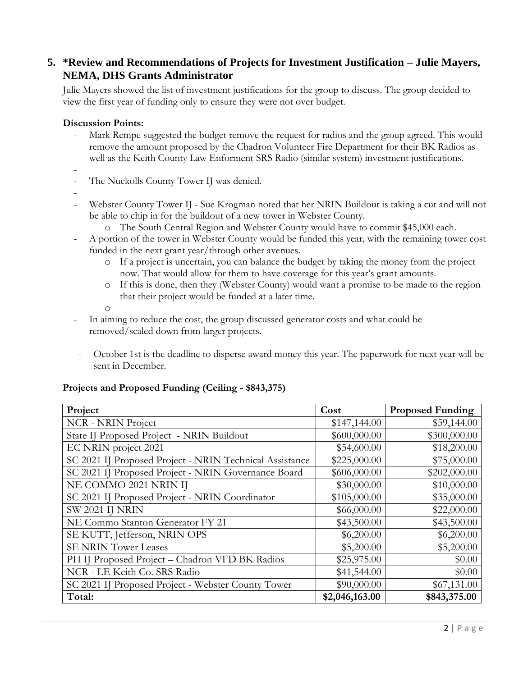## **5. \*Review and Recommendations of Projects for Investment Justification – Julie Mayers, NEMA, DHS Grants Administrator**

Julie Mayers showed the list of investment justifications for the group to discuss. The group decided to view the first year of funding only to ensure they were not over budget.

#### **Discussion Points:**

- Mark Rempe suggested the budget remove the request for radios and the group agreed. This would remove the amount proposed by the Chadron Volunteer Fire Department for their BK Radios as well as the Keith County Law Enforment SRS Radio (similar system) investment justifications.
- -
- The Nuckolls County Tower IJ was denied.
- -
- Webster County Tower IJ Sue Krogman noted that her NRIN Buildout is taking a cut and will not be able to chip in for the buildout of a new tower in Webster County.
	- o The South Central Region and Webster County would have to commit \$45,000 each.
- A portion of the tower in Webster County would be funded this year, with the remaining tower cost funded in the next grant year/through other avenues.
	- o If a project is uncertain, you can balance the budget by taking the money from the project now. That would allow for them to have coverage for this year's grant amounts.
	- o If this is done, then they (Webster County) would want a promise to be made to the region that their project would be funded at a later time.
	- o
- In aiming to reduce the cost, the group discussed generator costs and what could be removed/scaled down from larger projects.
- October 1st is the deadline to disperse award money this year. The paperwork for next year will be sent in December.

#### **Projects and Proposed Funding (Ceiling - \$843,375)**

| Project                                                 | Cost           | <b>Proposed Funding</b> |
|---------------------------------------------------------|----------------|-------------------------|
| <b>NCR</b> - NRIN Project                               | \$147,144.00   | \$59,144.00             |
| State IJ Proposed Project - NRIN Buildout               | \$600,000.00   | \$300,000.00            |
| EC NRIN project 2021                                    | \$54,600.00    | \$18,200.00             |
| SC 2021 IJ Proposed Project - NRIN Technical Assistance | \$225,000.00   | \$75,000.00             |
| SC 2021 IJ Proposed Project - NRIN Governance Board     | \$606,000.00   | \$202,000.00            |
| NE COMMO 2021 NRIN IJ                                   | \$30,000.00    | \$10,000.00             |
| SC 2021 IJ Proposed Project - NRIN Coordinator          | \$105,000.00   | \$35,000.00             |
| <b>SW 2021 IJ NRIN</b>                                  | \$66,000.00    | \$22,000.00             |
| NE Commo Stanton Generator FY 21                        | \$43,500.00    | \$43,500.00             |
| SE KUTT, Jefferson, NRIN OPS                            | \$6,200.00     | \$6,200.00              |
| <b>SE NRIN Tower Leases</b>                             | \$5,200.00     | \$5,200.00              |
| PH IJ Proposed Project - Chadron VFD BK Radios          | \$25,975.00    | \$0.00                  |
| NCR - LE Keith Co. SRS Radio                            | \$41,544.00    | \$0.00                  |
| SC 2021 IJ Proposed Project - Webster County Tower      | \$90,000.00    | \$67,131.00             |
| Total:                                                  | \$2,046,163.00 | \$843,375.00            |